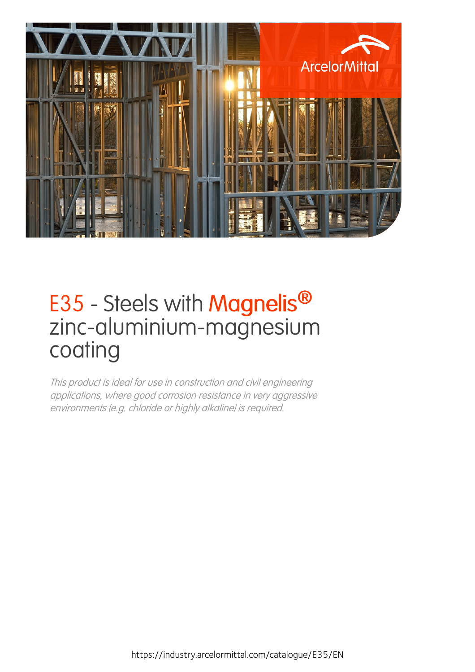

# E35 - Steels with **Magnelis<sup>®</sup>** zinc-aluminium-magnesium coating

This product is ideal for use in construction and civil engineering applications, where good corrosion resistance in very aggressive environments (e.g. chloride or highly alkaline) is required.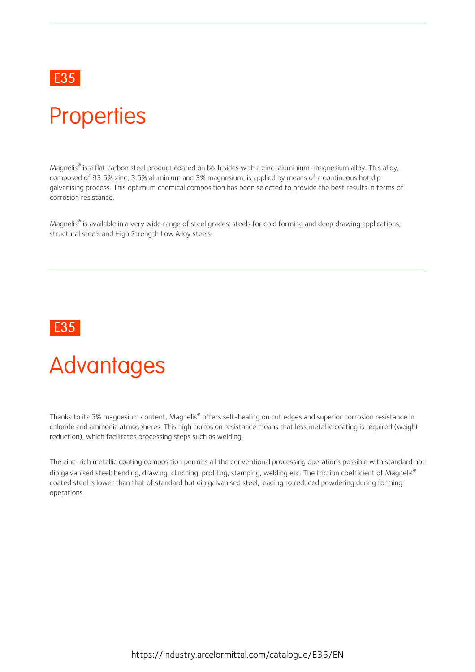## E35 **Example 20** Final contract of the contract of the contract of the contract of the contract of the contract of the contract of the contract of the contract of the contract of the contract of the contract of the contrac

# **Properties**

Magnelis® is a flat carbon steel product coated on both sides with a zinc-aluminium-magnesium alloy. This alloy, composed of 93.5% zinc, 3.5% aluminium and 3% magnesium, is applied by means of a continuous hot dip galvanising process. This optimum chemical composition has been selected to provide the best results in terms of corrosion resistance.

Magnelis® is available in a very wide range of steel grades: steels for cold forming and deep drawing applications, structural steels and High Strength Low Alloy steels.

## E35 **Example 20** Final contract of the contract of the contract of the contract of the contract of the contract of the contract of the contract of the contract of the contract of the contract of the contract of the contrac

# Advantages

Thanks to its 3% magnesium content, Magnelis® offers self-healing on cut edges and superior corrosion resistance in chloride and ammonia atmospheres. This high corrosion resistance means that less metallic coating is required (weight reduction), which facilitates processing steps such as welding.

The zinc-rich metallic coating composition permits all the conventional processing operations possible with standard hot dip galvanised steel: bending, drawing, clinching, profiling, stamping, welding etc. The friction coefficient of Magnelis® coated steel is lower than that of standard hot dip galvanised steel, leading to reduced powdering during forming operations.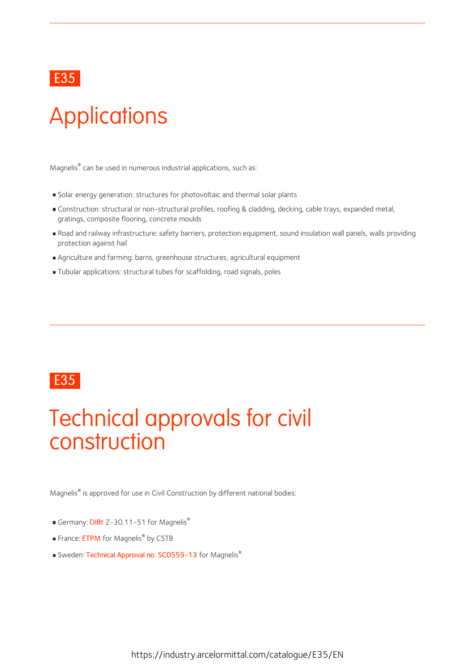## E35 **Example 20** Final contract of the contract of the contract of the contract of the contract of the contract of the contract of the contract of the contract of the contract of the contract of the contract of the contrac

# **Applications**

Magnelis® can be used in numerous industrial applications, such as:

- Solar energy generation: structures for photovoltaic and thermal solar plants
- Construction: structural or non-structural profiles, roofing & cladding, decking, cable trays, expanded metal, gratings, composite flooring, concrete moulds
- Road and railway infrastructure: safety barriers, protection equipment, sound insulation wall panels, walls providing protection against hail
- Agriculture and farming: barns, greenhouse structures, agricultural equipment
- Tubular applications: structural tubes for scaffolding, road signals, poles

## E35 **Example 20** Final contract of the contract of the contract of the contract of the contract of the contract of the contract of the contract of the contract of the contract of the contract of the contract of the contrac

# Technical approvals for civil construction

Magnelis® is approved for use in Civil Construction by different national bodies:

- Germany: [DIBt](https://fce.arcelormittal.com/repository2/fce/transfer/Magnelis_certification_DIBT_ENtransl.pdf) Z-30.11-51 for Magnelis®
- France: [ETPM](https://industry.arcelormittal.com/flipbook/fce/transfer/Magnelis_certification_CSTB_EN) for Magnelis<sup>®</sup> by CSTB
- Sweden: Technical Approval no. [SC0559-13](https://industry.arcelormittal.com/flipbook/fce/transfer/Magnelis_certification_RISE_EN) for Magnelis<sup>®</sup>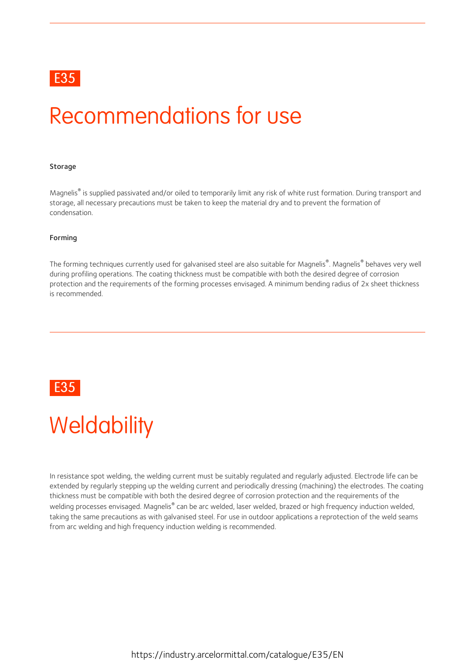## E35 **Example 20** Final contract of the contract of the contract of the contract of the contract of the contract of the contract of the contract of the contract of the contract of the contract of the contract of the contrac

# Recommendations for use

### **Storage**

Magnelis® is supplied passivated and/or oiled to temporarily limit any risk of white rust formation. During transport and storage, all necessary precautions must be taken to keep the material dry and to prevent the formation of condensation.

#### Forming

The forming techniques currently used for galvanised steel are also suitable for Magnelis®. Magnelis® behaves very well during profiling operations. The coating thickness must be compatible with both the desired degree of corrosion protection and the requirements of the forming processes envisaged. A minimum bending radius of 2x sheet thickness is recommended.



# **Weldability**

In resistance spot welding, the welding current must be suitably regulated and regularly adjusted. Electrode life can be extended by regularly stepping up the welding current and periodically dressing (machining) the electrodes. The coating thickness must be compatible with both the desired degree of corrosion protection and the requirements of the welding processes envisaged. Magnelis® can be arc welded, laser welded, brazed or high frequency induction welded, taking the same precautions as with galvanised steel. For use in outdoor applications a reprotection of the weld seams from arc welding and high frequency induction welding is recommended.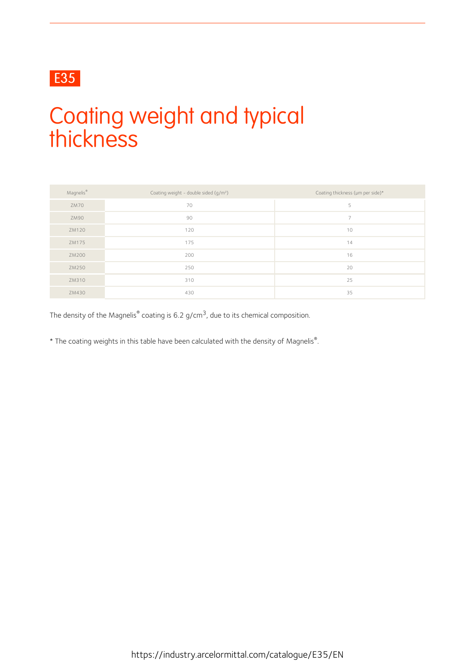# E35

# Coating weight and typical thickness

| Magnelis <sup>®</sup> | Coating weight - double sided (g/m <sup>2</sup> ) | Coating thickness (µm per side)* |
|-----------------------|---------------------------------------------------|----------------------------------|
| ZM70                  | 70                                                | 5                                |
| ZM90                  | 90                                                | $\overline{ }$                   |
| ZM120                 | 120                                               | 10                               |
| ZM175                 | 175                                               | 14                               |
| ZM200                 | 200                                               | 16                               |
| ZM250                 | 250                                               | 20                               |
| ZM310                 | 310                                               | 25                               |
| ZM430                 | 430                                               | 35                               |

The density of the Magnelis $^{\circ}$  coating is 6.2 g/cm<sup>3</sup>, due to its chemical composition.

\* The coating weights in this table have been calculated with the density of Magnelis® .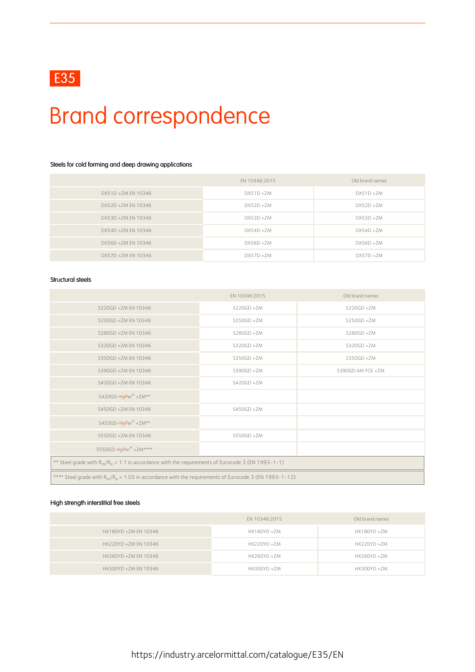# Brand correspondence

### Steels for cold forming and deep drawing applications

|                    | EN 10346:2015 | Old brand names |
|--------------------|---------------|-----------------|
| DX51D +ZM EN 10346 | $DX51D + ZM$  | $DX51D + ZM$    |
| DX52D +ZM EN 10346 | $DX52D + ZM$  | $DX52D + ZM$    |
| DX53D +ZM EN 10346 | $DX53D + ZM$  | $DX53D + ZM$    |
| DX54D +ZM EN 10346 | $DX54D + ZM$  | $DX54D + ZM$    |
| DX56D +ZM EN 10346 | $DX56D + ZM$  | $DX56D + ZM$    |
| DX57D +ZM EN 10346 | $DX57D + ZM$  | $DX57D + ZM$    |

#### Structural steels

|                                                                                                         | EN 10346:2015 | Old brand names   |  |  |  |  |
|---------------------------------------------------------------------------------------------------------|---------------|-------------------|--|--|--|--|
| S220GD +ZM EN 10346                                                                                     | $S220GD + ZM$ | $S220GD + ZM$     |  |  |  |  |
| S250GD +ZM EN 10346                                                                                     | $S250GD + ZM$ | $S250GD + ZM$     |  |  |  |  |
| S280GD +ZM EN 10346                                                                                     | $S280GD + ZM$ | $S280GD + ZM$     |  |  |  |  |
| S320GD +ZM EN 10346                                                                                     | $S320GD + ZM$ | S320GD +ZM        |  |  |  |  |
| S350GD +ZM EN 10346                                                                                     | $S350GD + ZM$ | $S350GD + ZM$     |  |  |  |  |
| S390GD +ZM EN 10346                                                                                     | $S390GD + ZM$ | S390GD AM FCE +ZM |  |  |  |  |
| S420GD +ZM EN 10346                                                                                     | $S420GD + ZM$ |                   |  |  |  |  |
| S420GD-HyPer® +ZM**                                                                                     |               |                   |  |  |  |  |
| S450GD +ZM EN 10346                                                                                     | $S450GD + ZM$ |                   |  |  |  |  |
| S450GD-HyPer® +ZM**                                                                                     |               |                   |  |  |  |  |
| S550GD +ZM EN 10346                                                                                     | $S550GD + ZM$ |                   |  |  |  |  |
| S550GD-HyPer® +ZM****                                                                                   |               |                   |  |  |  |  |
| ** Steel grade with $R_m/R_e > 1.1$ in accordance with the requirements of Eurocode 3 (EN 1993-1-1)     |               |                   |  |  |  |  |
| **** Steel grade with $R_m/R_e > 1.05$ in accordance with the requirements of Eurocode 3 (EN 1993-1-12) |               |                   |  |  |  |  |

### High strength interstitial free steels

|                      | EN 10346:2015  | Old brand names |
|----------------------|----------------|-----------------|
| HX180YD +ZM EN 10346 | HX180YD +ZM    | HX180YD +ZM     |
| HX220YD +ZM EN 10346 | $HX220YD + ZM$ | HX220YD +ZM     |
| HX260YD +ZM EN 10346 | HX260YD +ZM    | HX260YD +ZM     |
| HX300YD +ZM EN 10346 | HX300YD +ZM    | HX300YD +ZM     |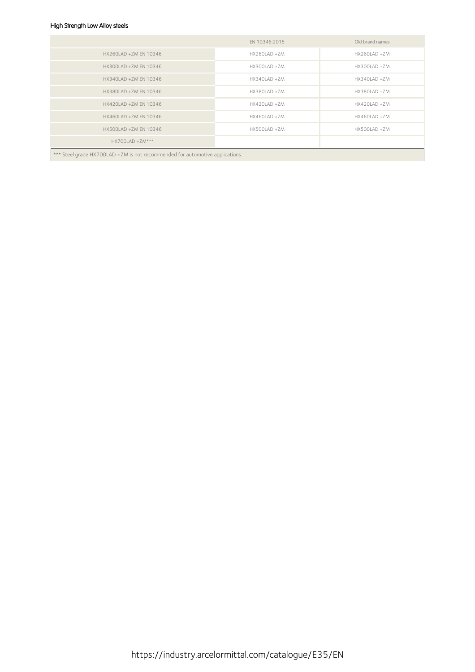## High Strength Low Alloy steels

|                                                                              | EN 10346:2015   | Old brand names |  |  |  |  |  |
|------------------------------------------------------------------------------|-----------------|-----------------|--|--|--|--|--|
| HX260LAD +ZM EN 10346                                                        | HX260LAD +ZM    | HX260LAD +ZM    |  |  |  |  |  |
| HX300LAD +ZM EN 10346                                                        | HX300LAD +ZM    | HX300LAD +ZM    |  |  |  |  |  |
| HX340LAD +ZM EN 10346                                                        | HX340LAD +ZM    | HX340LAD +ZM    |  |  |  |  |  |
| HX380LAD +ZM EN 10346                                                        | HX380LAD +ZM    | HX380LAD +ZM    |  |  |  |  |  |
| HX420LAD +ZM EN 10346                                                        | $HX420LAD + ZM$ | HX420LAD +ZM    |  |  |  |  |  |
| HX460LAD +ZM EN 10346                                                        | HX460LAD +ZM    | HX460LAD +ZM    |  |  |  |  |  |
| HX500LAD +ZM EN 10346                                                        | HX500LAD +ZM    | HX500LAD +ZM    |  |  |  |  |  |
| $HX700LAD + ZM***$                                                           |                 |                 |  |  |  |  |  |
| *** Steel grade HX700LAD +ZM is not recommended for automotive applications. |                 |                 |  |  |  |  |  |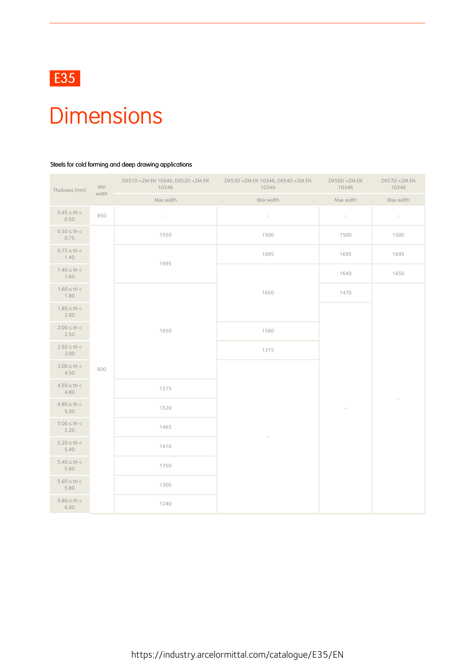

# **Dimensions**

### Steels for cold forming and deep drawing applications

| Thickness (mm)           | Min<br>width | DX51D +ZM EN 10346, DX52D +ZM EN<br>10346 | DX53D +ZM EN 10346, DX54D +ZM EN<br>10346 | DX56D +ZM EN<br>10346       | DX57D +ZM EN<br>10346    |
|--------------------------|--------------|-------------------------------------------|-------------------------------------------|-----------------------------|--------------------------|
|                          |              | Max width                                 | Max width                                 | Max width                   | Max width                |
| $0.45 \le th <$<br>0.50  | 850          | $\bar{a}$                                 | $\omega$                                  | $\mathcal{L}_{\mathcal{A}}$ | $\sim$                   |
| $0.50 \le th <$<br>0.75  |              | 1550                                      | 1500                                      | 1500                        | 1500                     |
| $0.75 \le th <$<br>1.40  |              | 1695                                      | 1695                                      | 1695                        | 1695                     |
| $1.40 \le th <$<br>1.60  |              |                                           |                                           | 1640                        | 1650                     |
| $1.60 \le th <$<br>1.80  |              |                                           | 1650                                      | 1470                        |                          |
| $1.80 \le th <$<br>2.00  |              |                                           |                                           |                             |                          |
| $2.00 \le th <$<br>2.50  |              | 1650                                      | 1580                                      |                             |                          |
| $2.50 \le th <$<br>3.00  |              |                                           | 1315                                      |                             |                          |
| $3.00 \le th <$<br>4.50  | 600          |                                           |                                           |                             |                          |
| $4.50 \le th <$<br>4.80  |              | 1575                                      |                                           |                             | $\overline{\phantom{a}}$ |
| $4.80 \le th <$<br>5.00  |              | 1520                                      |                                           |                             |                          |
| $5.00 \leq th <$<br>5.20 |              | 1465                                      |                                           |                             |                          |
| $5.20 \le th <$<br>5.40  |              | 1410                                      |                                           |                             |                          |
| $5.40 \le th <$<br>5.60  |              | 1350                                      |                                           |                             |                          |
| $5.60 \le th <$<br>5.80  |              | 1300                                      |                                           |                             |                          |
| $5.80 \le th <$<br>6.00  |              | 1240                                      |                                           |                             |                          |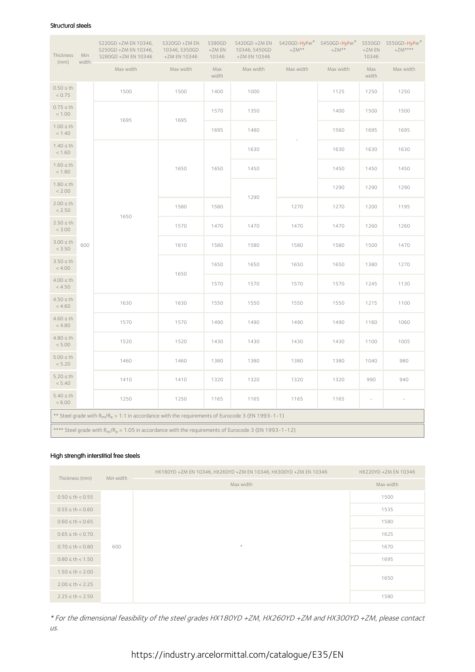#### Structural steels

| Thickness                                                                                                   | Min                | S220GD +ZM EN 10346,<br>S250GD +ZM EN 10346,<br>S280GD +ZM EN 10346                                 | S320GD +ZM EN<br>10346, S350GD<br>+ZM EN 10346 | S390GD<br>+ZM EN<br>10346 | 10346, S450GD<br>+ZM EN 10346 | S420GD +ZM EN S420GD-HyPer <sup>®</sup> S450GD-HyPer <sup>®</sup><br>$+ZM**$ | $+ZM**$   | +ZM EN<br>10346          | S550GD S550GD-HyPer®<br>$+ZM***$ |
|-------------------------------------------------------------------------------------------------------------|--------------------|-----------------------------------------------------------------------------------------------------|------------------------------------------------|---------------------------|-------------------------------|------------------------------------------------------------------------------|-----------|--------------------------|----------------------------------|
| (mm)                                                                                                        | width<br>Max width |                                                                                                     | Max width                                      | Max<br>width              | Max width                     | Max width                                                                    | Max width | Max<br>width             | Max width                        |
| $0.50 \leq th$<br>< 0.75                                                                                    |                    | 1500                                                                                                | 1500                                           | 1400                      | 1000                          |                                                                              | 1125      | 1250                     | 1250                             |
| $0.75 \leq th$<br>< 1.00                                                                                    |                    | 1695                                                                                                | 1695                                           | 1570                      | 1350                          |                                                                              | 1400      | 1500                     | 1500                             |
| $1.00 \leq th$<br>< 1.40                                                                                    |                    |                                                                                                     |                                                | 1695                      | 1480                          |                                                                              | 1560      | 1695                     | 1695                             |
| $1.40 \leq th$<br>< 1.60                                                                                    |                    |                                                                                                     |                                                |                           | 1630                          |                                                                              | 1630      | 1630                     | 1630                             |
| $1.60 \leq th$<br>< 1.80                                                                                    |                    |                                                                                                     | 1650                                           | 1650                      | 1450                          |                                                                              | 1450      | 1450                     | 1450                             |
| $1.80 \leq th$<br>< 2.00                                                                                    | 1650<br>600        |                                                                                                     |                                                |                           | 1290                          |                                                                              | 1290      | 1290                     | 1290                             |
| $2.00 \leq th$<br>< 2.50                                                                                    |                    | 1580                                                                                                | 1580                                           |                           | 1270                          | 1270                                                                         | 1200      | 1195                     |                                  |
| $2.50 \leq th$<br>< 3.00                                                                                    |                    |                                                                                                     | 1570                                           | 1470                      | 1470                          | 1470                                                                         | 1470      | 1260                     | 1260                             |
| $3.00 \leq th$<br>< 3.50                                                                                    |                    |                                                                                                     | 1610                                           | 1580                      | 1580                          | 1580                                                                         | 1580      | 1500                     | 1470                             |
| $3.50 \leq th$<br>< 4.00                                                                                    |                    |                                                                                                     | 1650                                           | 1650                      | 1650                          | 1650                                                                         | 1650      | 1380                     | 1270                             |
| $4.00 \leq th$<br>< 4.50                                                                                    |                    |                                                                                                     |                                                | 1570                      | 1570                          | 1570                                                                         | 1570      | 1245                     | 1130                             |
| $4.50 \leq th$<br>< 4.60                                                                                    |                    | 1630                                                                                                | 1630                                           | 1550                      | 1550                          | 1550                                                                         | 1550      | 1215                     | 1100                             |
| $4.60 \leq th$<br>< 4.80                                                                                    |                    | 1570                                                                                                | 1570                                           | 1490                      | 1490                          | 1490                                                                         | 1490      | 1160                     | 1060                             |
| $4.80 \leq th$<br>< 5.00                                                                                    |                    | 1520                                                                                                | 1520                                           | 1430                      | 1430                          | 1430                                                                         | 1430      | 1100                     | 1005                             |
| $5.00 \leq th$<br>< 5.20                                                                                    |                    | 1460                                                                                                | 1460                                           | 1380                      | 1380                          | 1380                                                                         | 1380      | 1040                     | 980                              |
| $5.20 \leq th$<br>< 5.40                                                                                    |                    | 1410                                                                                                | 1410                                           | 1320                      | 1320                          | 1320                                                                         | 1320      | 990                      | 940                              |
| $5.40 \leq th$<br>< 6.00                                                                                    |                    | 1250                                                                                                | 1250                                           | 1165                      | 1165                          | 1165                                                                         | 1165      | $\overline{\phantom{a}}$ | $\overline{\phantom{a}}$         |
|                                                                                                             |                    | ** Steel grade with $R_m/R_e > 1.1$ in accordance with the requirements of Eurocode 3 (EN 1993-1-1) |                                                |                           |                               |                                                                              |           |                          |                                  |
| **** Steel grade with $R_{m}/R_{e} > 1.05$ in accordance with the requirements of Eurocode 3 (EN 1993-1-12) |                    |                                                                                                     |                                                |                           |                               |                                                                              |           |                          |                                  |

### High strength interstitial free steels

| Thickness (mm)       | Min width | HX180YD +ZM EN 10346, HX260YD +ZM EN 10346, HX300YD +ZM EN 10346 | HX220YD +ZM EN 10346 |
|----------------------|-----------|------------------------------------------------------------------|----------------------|
|                      |           | Max width                                                        | Max width            |
| $0.50 \le th < 0.55$ |           |                                                                  | 1500                 |
| $0.55 \le th < 0.60$ |           |                                                                  | 1535                 |
| $0.60 \le th < 0.65$ |           |                                                                  | 1580                 |
| $0.65 \le th < 0.70$ |           |                                                                  | 1625                 |
| $0.70 \le th < 0.80$ | 600       | $\star$                                                          | 1670                 |
| $0.80 \le th < 1.50$ |           |                                                                  | 1695                 |
| $1.50 \le th < 2.00$ |           |                                                                  | 1650                 |
| $2.00 \le th < 2.25$ |           |                                                                  |                      |
| $2.25 \le th < 2.50$ |           |                                                                  | 1580                 |

\* For the dimensional feasibility of the steel grades HX180YD +ZM, HX260YD +ZM and HX300YD +ZM, please contact us.

https://industry.arcelormittal.com/catalogue/E35/EN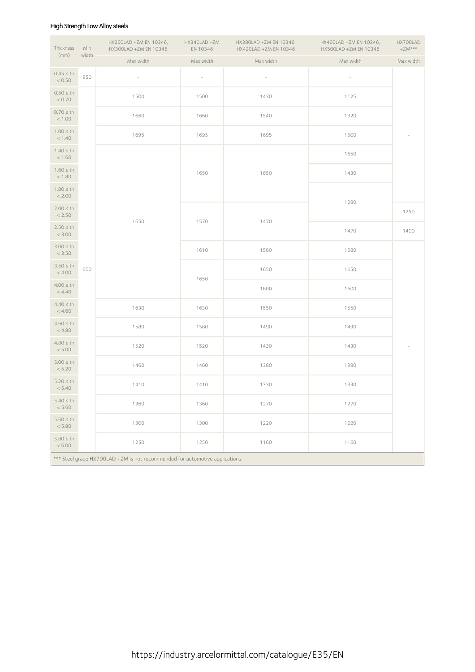### High Strength Low Alloy steels

| Thickness                                                                    | Min   | HX260LAD +ZM EN 10346,<br>HX300LAD +ZM EN 10346 | HX340LAD +ZM<br>EN 10346 | HX380LAD +ZM EN 10346,<br>HX420LAD +ZM EN 10346 | HX460LAD +ZM EN 10346,<br>HX500LAD +ZM EN 10346 | HX700LAD<br>$+ZM***$     |  |  |
|------------------------------------------------------------------------------|-------|-------------------------------------------------|--------------------------|-------------------------------------------------|-------------------------------------------------|--------------------------|--|--|
| (mm)                                                                         | width | Max width                                       | Max width                | Max width                                       | Max width                                       | Max width                |  |  |
| $0.45 \leq th$<br>< 0.50                                                     | 850   | $\overline{\phantom{a}}$                        | $\overline{\phantom{a}}$ | $\overline{\phantom{a}}$                        | $\overline{\phantom{a}}$                        |                          |  |  |
| $0.50 \leq th$<br>< 0.70                                                     |       | 1500                                            | 1500                     | 1430                                            | 1125                                            |                          |  |  |
| $0.70 \leq th$<br>< 1.00                                                     |       | 1660                                            | 1660                     | 1540                                            | 1320                                            |                          |  |  |
| $1.00 \leq th$<br>< 1.40                                                     |       | 1695                                            | 1695                     | 1695                                            | 1500                                            | $\overline{\phantom{a}}$ |  |  |
| $1.40 \leq th$<br>< 1.60                                                     |       |                                                 |                          |                                                 | 1650                                            |                          |  |  |
| $1.60 \leq th$<br>< 1.80                                                     |       |                                                 | 1650                     | 1650                                            | 1430                                            |                          |  |  |
| $1.80 \leq th$<br>< 2.00                                                     |       |                                                 |                          |                                                 |                                                 |                          |  |  |
| $2.00 \leq th$<br>< 2.50                                                     |       |                                                 |                          |                                                 | 1280                                            | 1250                     |  |  |
| $2.50 \leq th$<br>< 3.00                                                     | 600   | 1650                                            | 1570                     | 1470                                            | 1470                                            | 1400                     |  |  |
| $3.00 \leq th$<br>< 3.50                                                     |       |                                                 | 1610                     | 1580                                            | 1580                                            |                          |  |  |
| $3.50 \leq th$<br>< 4.00                                                     |       |                                                 |                          | 1650                                            | 1650                                            |                          |  |  |
| $4.00 \leq th$<br>< 4.40                                                     |       |                                                 | 1650                     | 1600                                            | 1600                                            |                          |  |  |
| $4.40 \leq th$<br>< 4.60                                                     |       | 1630                                            | 1630                     | 1550                                            | 1550                                            |                          |  |  |
| $4.60 \leq th$<br>< 4.80                                                     |       | 1580                                            | 1580                     | 1490                                            | 1490                                            |                          |  |  |
| $4.80 \leq th$<br>< 5.00                                                     |       | 1520                                            | 1520                     | 1430                                            | 1430                                            |                          |  |  |
| $5.00 \leq th$<br>< 5.20                                                     |       | 1460                                            | 1460                     | 1380                                            | 1380                                            |                          |  |  |
| $5.20 \leq th$<br>< 5.40                                                     |       | 1410                                            | 1410                     | 1330                                            | 1330                                            |                          |  |  |
| $5.40 \leq th$<br>< 5.60                                                     |       | 1360                                            | 1360                     | 1270                                            | 1270                                            |                          |  |  |
| $5.60 \leq th$<br>$< 5.80$                                                   |       | 1300                                            | 1300                     | 1220                                            | 1220                                            |                          |  |  |
| $5.80 \leq th$<br>< 6.00                                                     |       | 1250                                            | 1250                     | 1160                                            | 1160                                            |                          |  |  |
| *** Steel grade HX700LAD +ZM is not recommended for automotive applications. |       |                                                 |                          |                                                 |                                                 |                          |  |  |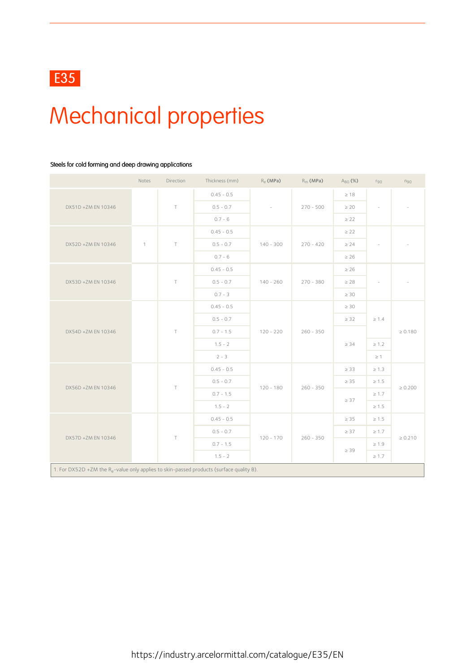# Mechanical properties

### Steels for cold forming and deep drawing applications

|                    | Notes                                                                                                | Direction | Thickness (mm) | $R_e$ (MPa) | $R_m$ (MPa) | $A_{80}$ (%) | $r_{90}$   | $n_{90}$     |
|--------------------|------------------------------------------------------------------------------------------------------|-----------|----------------|-------------|-------------|--------------|------------|--------------|
|                    |                                                                                                      |           | $0.45 - 0.5$   |             |             | $\geq 18$    |            |              |
| DX51D +ZM EN 10346 |                                                                                                      | $\top$    | $0.5 - 0.7$    |             | $270 - 500$ | $\geq 20$    |            |              |
|                    |                                                                                                      |           | $0.7 - 6$      |             |             | $\geq$ 22    |            |              |
|                    |                                                                                                      |           | $0.45 - 0.5$   |             |             | $\geq$ 22    |            |              |
| DX52D +ZM EN 10346 | $\mathbf{1}$                                                                                         | $\top$    | $0.5 - 0.7$    | $140 - 300$ | $270 - 420$ | $\geq 24$    |            |              |
|                    |                                                                                                      |           | $0.7 - 6$      |             |             | $\geq 26$    |            |              |
|                    |                                                                                                      |           | $0.45 - 0.5$   |             |             | $\geq 26$    |            |              |
| DX53D +ZM EN 10346 |                                                                                                      | $\top$    | $0.5 - 0.7$    | $140 - 260$ | $270 - 380$ | $\geq 28$    | $\bar{a}$  |              |
|                    |                                                                                                      |           | $0.7 - 3$      |             |             | $\geq 30$    |            |              |
| DX54D +ZM EN 10346 |                                                                                                      |           | $0.45 - 0.5$   |             |             | $\geq 30$    |            | $\geq 0.180$ |
|                    |                                                                                                      |           | $0.5 - 0.7$    | $120 - 220$ |             | $\geq$ 32    | $\geq 1.4$ |              |
|                    |                                                                                                      | $\top$    | $0.7 - 1.5$    |             | $260 - 350$ |              |            |              |
|                    |                                                                                                      |           | $1.5 - 2$      |             |             | $\geq 34$    | $\geq 1.2$ |              |
|                    |                                                                                                      |           | $2 - 3$        |             |             |              | $\geq 1$   |              |
|                    |                                                                                                      |           | $0.45 - 0.5$   |             |             | $\geq$ 33    | $\geq 1.3$ |              |
| DX56D +ZM EN 10346 |                                                                                                      | $\top$    | $0.5 - 0.7$    | $120 - 180$ | $260 - 350$ | $\geq 35$    | $\geq 1.5$ | $\geq 0.200$ |
|                    |                                                                                                      |           | $0.7 - 1.5$    |             |             | $\geq 37$    | $\geq 1.7$ |              |
|                    |                                                                                                      |           | $1.5 - 2$      |             |             |              | $\geq 1.5$ |              |
|                    |                                                                                                      |           | $0.45 - 0.5$   |             |             | $\geq 35$    | $\geq 1.5$ |              |
| DX57D +ZM EN 10346 |                                                                                                      | $\top$    | $0.5 - 0.7$    | $120 - 170$ | $260 - 350$ | $\geq 37$    | $\geq 1.7$ | $\geq 0.210$ |
|                    |                                                                                                      |           | $0.7 - 1.5$    |             |             | $\geq$ 39    | $\geq 1.9$ |              |
|                    |                                                                                                      |           | $1.5 - 2$      |             |             |              | $\geq 1.7$ |              |
|                    | 1. For DX52D +ZM the R <sub>e</sub> -value only applies to skin-passed products (surface quality B). |           |                |             |             |              |            |              |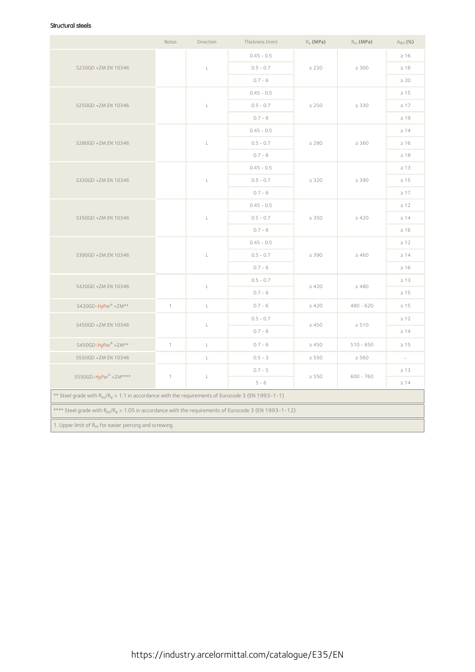### Structural steels

|                                                                                                         | Notes        | Direction      | Thickness (mm) | $R_e$ (MPa) | $R_m$ (MPa) | $A_{80}$ (%) |  |
|---------------------------------------------------------------------------------------------------------|--------------|----------------|----------------|-------------|-------------|--------------|--|
|                                                                                                         |              |                | $0.45 - 0.5$   |             |             | $\geq 16$    |  |
| S220GD +ZM EN 10346                                                                                     |              | L              | $0.5 - 0.7$    | $\geq$ 220  | $\geq 300$  | $\geq 18$    |  |
|                                                                                                         |              |                | $0.7 - 6$      |             |             | $\geq 20$    |  |
|                                                                                                         |              |                | $0.45 - 0.5$   |             |             | $\geq 15$    |  |
| S250GD +ZM EN 10346                                                                                     |              | $\mathsf L$    | $0.5 - 0.7$    | $\geq 250$  | $\geq 330$  | $\geq 17$    |  |
|                                                                                                         |              |                | $0.7 - 6$      |             |             | $\geq 19$    |  |
|                                                                                                         |              |                | $0.45 - 0.5$   |             |             | $\geq 14$    |  |
| S280GD +ZM EN 10346                                                                                     |              | $\mathsf L$    | $0.5 - 0.7$    | $\geq 280$  | $\geq 360$  | $\geq 16$    |  |
|                                                                                                         |              |                | $0.7 - 6$      |             |             | $\geq 18$    |  |
|                                                                                                         |              |                | $0.45 - 0.5$   |             |             | $\geq 13$    |  |
| S320GD +ZM EN 10346                                                                                     |              | $\mathsf L$    | $0.5 - 0.7$    | $\geq$ 320  | $\geq 390$  | $\geq 15$    |  |
|                                                                                                         |              |                | $0.7 - 6$      |             |             | $\geq 17$    |  |
|                                                                                                         |              |                | $0.45 - 0.5$   | $\geq 350$  |             | $\geq 12$    |  |
| S350GD +ZM EN 10346                                                                                     |              | $\mathsf L$    | $0.5 - 0.7$    |             | $\geq 420$  | $\geq 14$    |  |
|                                                                                                         |              |                | $0.7 - 6$      |             |             | $\geq 16$    |  |
|                                                                                                         |              |                | $0.45 - 0.5$   | $\geq 390$  |             | $\geq 12$    |  |
| S390GD +ZM EN 10346                                                                                     |              | $\mathsf L$    | $0.5 - 0.7$    |             | $\geq 460$  | $\geq 14$    |  |
|                                                                                                         |              |                | $0.7 - 6$      |             |             | $\geq 16$    |  |
| S420GD +ZM EN 10346                                                                                     |              | $\mathsf L$    | $0.5 - 0.7$    | $\geq 420$  |             | $\geq 13$    |  |
|                                                                                                         |              |                | $0.7 - 6$      |             | $\geq 480$  | $\geq 15$    |  |
| S420GD-HyPer® +ZM**                                                                                     | $\mathbf{1}$ | $\mathsf L$    | $0.7 - 6$      | $\geq 420$  | $480 - 620$ | $\geq 15$    |  |
|                                                                                                         |              |                | $0.5 - 0.7$    |             |             | $\geq 12$    |  |
| S450GD +ZM EN 10346                                                                                     |              | L              | $0.7 - 6$      | $\geq 450$  | $\geq 510$  | $\geq 14$    |  |
| S450GD-HyPer® +ZM**                                                                                     | $\mathbf{1}$ | $\mathsf{L}$   | $0.7 - 6$      | $\geq 450$  | $510 - 650$ | $\geq 15$    |  |
| S550GD +ZM EN 10346                                                                                     |              | $\mathsf{L}^-$ | $0.5 - 3$      | $\geq$ 550  | $\geq$ 560  | $\sim$       |  |
|                                                                                                         |              |                | $0.7 - 5$      |             |             | $\geq 13$    |  |
| S550GD-HyPer® +ZM****                                                                                   | $\mathbf{1}$ | $\mathsf L$    | $5 - 6$        | $\geq 550$  | $600 - 760$ | $\geq 14$    |  |
| ** Steel grade with $R_m/R_e > 1.1$ in accordance with the requirements of Eurocode 3 (EN 1993-1-1)     |              |                |                |             |             |              |  |
| **** Steel grade with $R_m/R_e > 1.05$ in accordance with the requirements of Eurocode 3 (EN 1993-1-12) |              |                |                |             |             |              |  |
| 1. Upper limit of R <sub>m</sub> for easier piercing and screwing.                                      |              |                |                |             |             |              |  |
|                                                                                                         |              |                |                |             |             |              |  |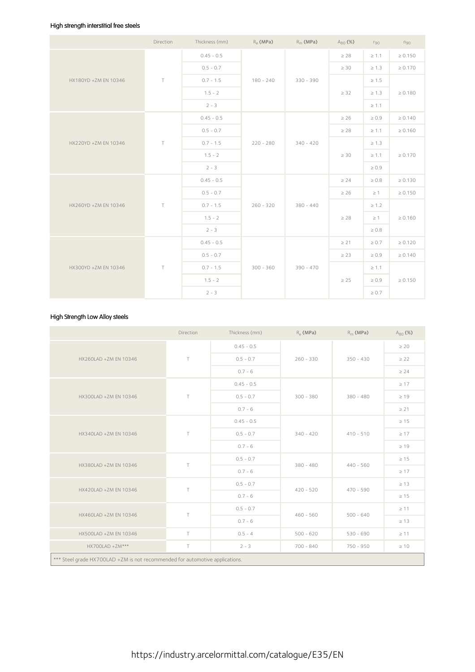### High strength interstitial free steels

|                      | Direction | Thickness (mm) |             | $R_e$ (MPa) $R_m$ (MPa) | $A_{80}$ (%) | $r_{90}$   | $n_{90}$     |
|----------------------|-----------|----------------|-------------|-------------------------|--------------|------------|--------------|
|                      |           | $0.45 - 0.5$   |             |                         | $\geq 28$    | $\geq 1.1$ | $\geq 0.150$ |
|                      |           | $0.5 - 0.7$    |             |                         | $\geq 30$    | $\geq 1.3$ | $\geq 0.170$ |
| HX180YD +ZM EN 10346 | T         | $0.7 - 1.5$    | $180 - 240$ | $330 - 390$             |              | $\geq 1.5$ |              |
|                      |           | $1.5 - 2$      |             |                         | $\geq$ 32    | $\geq 1.3$ | $\geq 0.180$ |
|                      |           | $2 - 3$        |             |                         |              | $\geq 1.1$ |              |
|                      |           | $0.45 - 0.5$   |             | $340 - 420$             | $\geq 26$    | $\geq 0.9$ | $\geq 0.140$ |
|                      |           | $0.5 - 0.7$    |             |                         | $\geq 28$    | $\geq 1.1$ | $\geq 0.160$ |
| HX220YD +ZM EN 10346 | T         | $0.7 - 1.5$    | $220 - 280$ |                         |              | $\geq 1.3$ |              |
|                      |           | $1.5 - 2$      |             |                         | $\geq 30$    | $\geq 1.1$ | $\geq 0.170$ |
|                      |           | $2 - 3$        |             |                         |              | $\geq 0.9$ |              |
|                      |           | $0.45 - 0.5$   |             |                         | $\geq 24$    | $\geq 0.8$ | $\geq 0.130$ |
|                      |           | $0.5 - 0.7$    |             |                         | $\geq 26$    | $\geq 1$   | $\geq 0.150$ |
| HX260YD +ZM EN 10346 | T         | $0.7 - 1.5$    | $260 - 320$ | $380 - 440$             |              | $\geq 1.2$ |              |
|                      |           | $1.5 - 2$      |             |                         | $\geq 28$    | $\geq 1$   | $\geq 0.160$ |
|                      |           | $2 - 3$        |             |                         |              | $\geq 0.8$ |              |
|                      |           | $0.45 - 0.5$   |             |                         | $\geq 21$    | $\geq 0.7$ | $\geq 0.120$ |
|                      |           | $0.5 - 0.7$    |             |                         | $\geq$ 23    | $\geq 0.9$ | $\geq 0.140$ |
| HX300YD +ZM EN 10346 | $\top$    | $0.7 - 1.5$    | $300 - 360$ | $390 - 470$             |              | $\geq 1.1$ |              |
|                      |           | $1.5 - 2$      |             |                         | $\geq 25$    | $\geq 0.9$ | $\geq 0.150$ |
|                      |           | $2 - 3$        |             |                         |              | $\geq 0.7$ |              |

## High Strength Low Alloy steels

|                                                                              | Direction | Thickness (mm) | $R_{\rho}$ (MPa) | $R_m$ (MPa) | $A_{80}$ (%) |
|------------------------------------------------------------------------------|-----------|----------------|------------------|-------------|--------------|
|                                                                              | T         | $0.45 - 0.5$   |                  |             | $\geq 20$    |
| HX260LAD +ZM EN 10346                                                        |           | $0.5 - 0.7$    | $260 - 330$      | $350 - 430$ | $\geq$ 22    |
|                                                                              |           | $0.7 - 6$      |                  |             | $\geq 24$    |
|                                                                              | T         | $0.45 - 0.5$   |                  | $380 - 480$ | $\geq 17$    |
| HX300LAD +ZM EN 10346                                                        |           | $0.5 - 0.7$    | $300 - 380$      |             | $\geq 19$    |
|                                                                              |           | $0.7 - 6$      |                  |             | $\geq 21$    |
|                                                                              | T         | $0.45 - 0.5$   |                  | $410 - 510$ | $\geq 15$    |
| HX340LAD +ZM EN 10346                                                        |           | $0.5 - 0.7$    | $340 - 420$      |             | $\geq 17$    |
|                                                                              |           | $0.7 - 6$      |                  |             | $\geq 19$    |
| HX380LAD +ZM EN 10346                                                        | T         | $0.5 - 0.7$    | $380 - 480$      | $440 - 560$ | $\geq 15$    |
|                                                                              |           | $0.7 - 6$      |                  |             | $\geq 17$    |
| HX420LAD +ZM EN 10346                                                        | $\top$    | $0.5 - 0.7$    | $420 - 520$      | $470 - 590$ | $\geq 13$    |
|                                                                              |           | $0.7 - 6$      |                  |             | $\geq 15$    |
| HX460LAD +ZM EN 10346                                                        | T.        | $0.5 - 0.7$    | $460 - 560$      | $500 - 640$ | $\geq$ 11    |
|                                                                              |           | $0.7 - 6$      |                  |             | $\geq 13$    |
| HX500LAD +ZM EN 10346                                                        | T.        | $0.5 - 4$      | $500 - 620$      | $530 - 690$ | $\geq 11$    |
| HX700LAD +ZM***                                                              | T.        | $2 - 3$        | $700 - 840$      | 750 - 950   | $\geq 10$    |
| *** Steel grade HX700LAD +ZM is not recommended for automotive applications. |           |                |                  |             |              |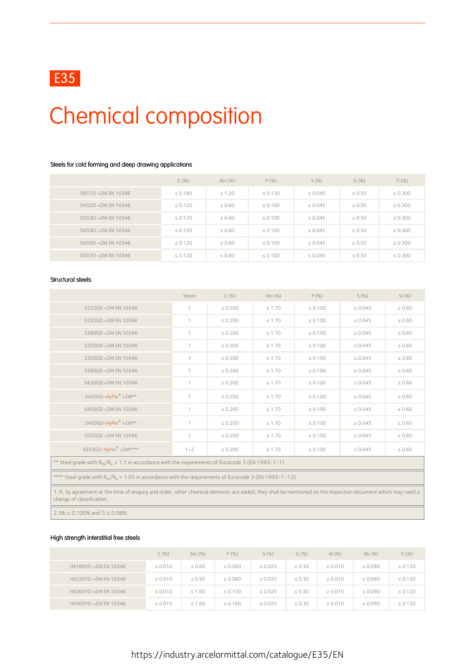

# Chemical composition

### Steels for cold forming and deep drawing applications

|                    | $C(\%)$      | $Mn(\%)$    | $P(\%)$      | $S(\%)$      | Si(%)       | Ti $(\%)$    |
|--------------------|--------------|-------------|--------------|--------------|-------------|--------------|
| DX51D +ZM EN 10346 | $\leq 0.180$ | $\leq 1.20$ | $\leq 0.120$ | $\leq 0.045$ | $\leq 0.50$ | $\leq 0.300$ |
| DX52D +ZM EN 10346 | $\leq 0.120$ | $\leq 0.60$ | $\leq 0.100$ | $\leq 0.045$ | $\leq 0.50$ | $\leq 0.300$ |
| DX53D +ZM EN 10346 | $\leq 0.120$ | $\leq 0.60$ | $\leq 0.100$ | $\leq 0.045$ | $\leq 0.50$ | $\leq 0.300$ |
| DX54D +7M FN 10346 | $\leq 0.120$ | $\leq 0.60$ | $\leq 0.100$ | $\leq 0.045$ | $\leq 0.50$ | $\leq 0.300$ |
| DX56D +ZM EN 10346 | $\leq 0.120$ | $\leq 0.60$ | $\leq 0.100$ | $\leq 0.045$ | $\leq 0.50$ | $\leq 0.300$ |
| DX57D +ZM EN 10346 | $\leq 0.120$ | $\leq 0.60$ | $\leq 0.100$ | $\leq 0.045$ | $\leq 0.50$ | $\leq 0.300$ |

#### Structural steels

|                                                                                                                                                                                           | Notes          | C(%)         | Mn (%)      | $P(\%)$      | S(%)         | Si(%)       |  |  |
|-------------------------------------------------------------------------------------------------------------------------------------------------------------------------------------------|----------------|--------------|-------------|--------------|--------------|-------------|--|--|
| S220GD +ZM EN 10346                                                                                                                                                                       | $\mathbf{1}$   | $\leq 0.200$ | $\leq 1.70$ | $\leq 0.100$ | $\leq 0.045$ | $\leq 0.60$ |  |  |
| S250GD +ZM EN 10346                                                                                                                                                                       | $\overline{1}$ | $\leq 0.200$ | $\leq 1.70$ | $\leq 0.100$ | $\leq 0.045$ | $\leq 0.60$ |  |  |
| S280GD +ZM EN 10346                                                                                                                                                                       |                | $\leq 0.200$ | $\leq 1.70$ | $\leq 0.100$ | $\leq 0.045$ | $\leq 0.60$ |  |  |
| S320GD +ZM EN 10346                                                                                                                                                                       |                | $\leq 0.200$ | $\leq 1.70$ | $\leq 0.100$ | $\leq 0.045$ | $\leq 0.60$ |  |  |
| S350GD +ZM EN 10346                                                                                                                                                                       | $\overline{1}$ | $\leq 0.200$ | $\leq 1.70$ | $\leq 0.100$ | $\leq 0.045$ | $\leq 0.60$ |  |  |
| S390GD +ZM EN 10346                                                                                                                                                                       | $\mathbf{1}$   | $\leq 0.200$ | $\leq 1.70$ | $\leq 0.100$ | $\leq 0.045$ | $\leq 0.60$ |  |  |
| S420GD +ZM EN 10346                                                                                                                                                                       | $\mathbf{1}$   | $\leq 0.200$ | $\leq 1.70$ | $\leq 0.100$ | $\leq 0.045$ | $\leq 0.60$ |  |  |
| S420GD-HyPer® +ZM**                                                                                                                                                                       |                | $\leq 0.200$ | $\leq 1.70$ | $\leq 0.100$ | $\leq 0.045$ | $\leq 0.60$ |  |  |
| S450GD +ZM EN 10346                                                                                                                                                                       | $\overline{1}$ | $\leq 0.200$ | $\leq 1.70$ | $\leq 0.100$ | $\leq 0.045$ | $\leq 0.60$ |  |  |
| S450GD-HyPer® +ZM**                                                                                                                                                                       | $\mathbf{1}$   | $\leq 0.200$ | $\leq 1.70$ | $\leq 0.100$ | $\leq 0.045$ | $\leq 0.60$ |  |  |
| S550GD +ZM EN 10346                                                                                                                                                                       |                | $\leq 0.200$ | $\leq 1.70$ | $\leq 0.100$ | $\leq 0.045$ | $\leq 0.60$ |  |  |
| S550GD-HyPer® +ZM****                                                                                                                                                                     | $1 + 2$        | $\leq 0.200$ | $\leq 1.70$ | $\leq 0.100$ | $\leq 0.045$ | $\leq 0.60$ |  |  |
| ** Steel grade with $R_m/R_e > 1.1$ in accordance with the requirements of Eurocode 3 (EN 1993-1-1)                                                                                       |                |              |             |              |              |             |  |  |
| **** Steel grade with $R_m/R_e > 1.05$ in accordance with the requirements of Eurocode 3 (EN 1993-1-12)                                                                                   |                |              |             |              |              |             |  |  |
| 1. If, by agreement at the time of enquiry and order, other chemical elements are added, they shall be mentioned on the inspection document which may need a<br>change of classification. |                |              |             |              |              |             |  |  |

2. Nb ≤ 0.100% and Ti ≤ 0.08%

### High strength interstitial free steels

|                      | $C(\%)$      | Mn(%)       | $P(\%)$      | S(%)         | Si (%)      | Al $(%)$     | Nb(%)        | Ti (%)       |
|----------------------|--------------|-------------|--------------|--------------|-------------|--------------|--------------|--------------|
| HX180YD +ZM EN 10346 | $\leq 0.010$ | $\leq 0.60$ | $\leq 0.060$ | $\leq 0.025$ | $\leq 0.30$ | $\geq 0.010$ | $\leq 0.090$ | $\leq 0.120$ |
| HX220YD +ZM EN 10346 | $\leq 0.010$ | $\leq 0.90$ | $\leq 0.080$ | $\leq 0.025$ | $\leq 0.30$ | $\geq 0.010$ | $\leq 0.090$ | $\leq 0.120$ |
| HX260YD +ZM EN 10346 | $\leq 0.010$ | $\leq 1.60$ | $\leq 0.100$ | $\leq 0.025$ | $\leq 0.30$ | $\geq 0.010$ | $\leq 0.090$ | $\leq 0.120$ |
| HX300YD +ZM EN 10346 | $\leq 0.015$ | $\leq 1.60$ | $\leq 0.100$ | $\leq 0.025$ | $\leq 0.30$ | $\geq 0.010$ | $\leq 0.090$ | $\leq 0.120$ |